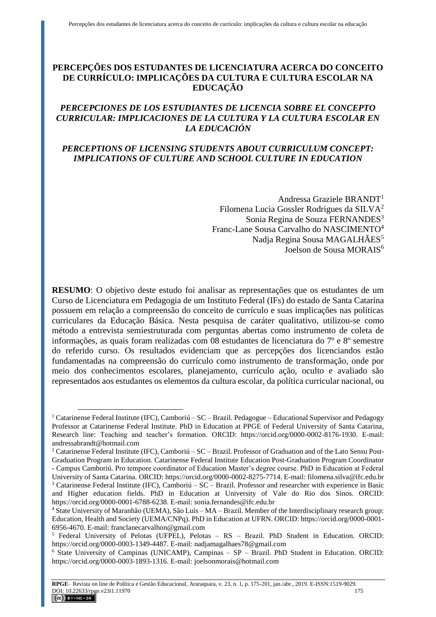# **PERCEPÇÕES DOS ESTUDANTES DE LICENCIATURA ACERCA DO CONCEITO DE CURRÍCULO: IMPLICAÇÕES DA CULTURA E CULTURA ESCOLAR NA EDUCAÇÃO**

# *PERCEPCIONES DE LOS ESTUDIANTES DE LICENCIA SOBRE EL CONCEPTO CURRICULAR: IMPLICACIONES DE LA CULTURA Y LA CULTURA ESCOLAR EN LA EDUCACIÓN*

# *PERCEPTIONS OF LICENSING STUDENTS ABOUT CURRICULUM CONCEPT: IMPLICATIONS OF CULTURE AND SCHOOL CULTURE IN EDUCATION*

Andressa Graziele BRANDT<sup>1</sup> Filomena Lucia Gossler Rodrigues da SILVA<sup>2</sup> Sonia Regina de Souza FERNANDES<sup>3</sup> Franc-Lane Sousa Carvalho do NASCIMENTO<sup>4</sup> Nadja Regina Sousa MAGALHÃES<sup>5</sup> Joelson de Sousa MORAIS<sup>6</sup>

**RESUMO**: O objetivo deste estudo foi analisar as representações que os estudantes de um Curso de Licenciatura em Pedagogia de um Instituto Federal (IFs) do estado de Santa Catarina possuem em relação a compreensão do conceito de currículo e suas implicações nas políticas curriculares da Educação Básica. Nesta pesquisa de caráter qualitativo, utilizou-se como método a entrevista semiestruturada com perguntas abertas como instrumento de coleta de informações, as quais foram realizadas com 08 estudantes de licenciatura do 7º e 8º semestre do referido curso. Os resultados evidenciam que as percepções dos licenciandos estão fundamentadas na compreensão do currículo como instrumento de transformação, onde por meio dos conhecimentos escolares, planejamento, currículo ação, oculto e avaliado são representados aos estudantes os elementos da cultura escolar, da política curricular nacional, ou

<sup>1</sup> Catarinense Federal Institute (IFC), Camboriú – SC – Brazil. Pedagogue – Educational Supervisor and Pedagogy Professor at Catarinense Federal Institute. PhD in Education at PPGE of Federal University of Santa Catarina, Research line: Teaching and teacher's formation. ORCID: https://orcid.org/0000-0002-8176-1930. E-mail: andressabrandt@hotmail.com

<sup>2</sup> Catarinense Federal Institute (IFC), Camboriú – SC – Brazil. Professor of Graduation and of the Lato Sensu Post-Graduation Program in Education. Catarinense Federal Institute Education Post-Graduation Program Coordinator - Campus Camboriú. Pro tempore coordinator of Education Master's degree course. PhD in Education at Federal

University of Santa Catarina. ORCID: https://orcid.org/0000-0002-8275-7714. E-mail: filomena.silva@ifc.edu.br  $3$  Catarinense Federal Institute (IFC), Camboriú – SC – Brazil. Professor and researcher with experience in Basic and Higher education fields. PhD in Education at University of Vale do Rio dos Sinos. ORCID: https://orcid.org/0000-0001-6788-6238. E-mail: sonia.fernandes@ifc.edu.br

<sup>4</sup> State University of Maranhão (UEMA), São Luís – MA – Brazil. Member of the Interdisciplinary research group: Education, Health and Society (UEMA/CNPq). PhD in Education at UFRN. ORCID: https://orcid.org/0000-0001- 6956-4670. E-mail: franclanecarvalhon@gmail.com

<sup>5</sup> Federal University of Pelotas (UFPEL), Pelotas – RS – Brazil. PhD Student in Education. ORCID: https://orcid.org/0000-0003-1349-4487. E-mail: nadjamagalhaes78@gmail.com

<sup>6</sup> State University of Campinas (UNICAMP), Campinas – SP – Brazil. PhD Student in Education. ORCID: https://orcid.org/0000-0003-1893-1316. E-mail: joelsonmorais@hotmail.com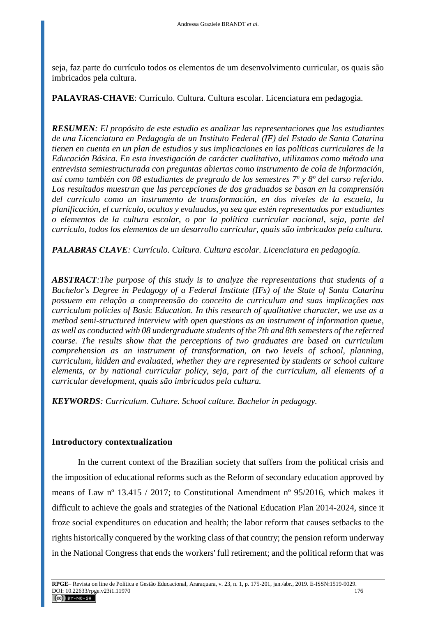seja, faz parte do currículo todos os elementos de um desenvolvimento curricular, os quais são imbricados pela cultura.

**PALAVRAS-CHAVE**: Currículo. Cultura. Cultura escolar. Licenciatura em pedagogia.

*RESUMEN: El propósito de este estudio es analizar las representaciones que los estudiantes de una Licenciatura en Pedagogía de un Instituto Federal (IF) del Estado de Santa Catarina tienen en cuenta en un plan de estudios y sus implicaciones en las políticas curriculares de la Educación Básica. En esta investigación de carácter cualitativo, utilizamos como método una entrevista semiestructurada con preguntas abiertas como instrumento de cola de información, así como también con 08 estudiantes de pregrado de los semestres 7º y 8º del curso referido. Los resultados muestran que las percepciones de dos graduados se basan en la comprensión del currículo como un instrumento de transformación, en dos niveles de la escuela, la planificación, el currículo, ocultos y evaluados, ya sea que estén representados por estudiantes o elementos de la cultura escolar, o por la política curricular nacional, seja, parte del currículo, todos los elementos de un desarrollo curricular, quais são imbricados pela cultura.*

*PALABRAS CLAVE: Currículo. Cultura. Cultura escolar. Licenciatura en pedagogía.*

*ABSTRACT:The purpose of this study is to analyze the representations that students of a Bachelor's Degree in Pedagogy of a Federal Institute (IFs) of the State of Santa Catarina possuem em relação a compreensão do conceito de curriculum and suas implicações nas curriculum policies of Basic Education. In this research of qualitative character, we use as a method semi-structured interview with open questions as an instrument of information queue, as well as conducted with 08 undergraduate students of the 7th and 8th semesters of the referred course. The results show that the perceptions of two graduates are based on curriculum comprehension as an instrument of transformation, on two levels of school, planning, curriculum, hidden and evaluated, whether they are represented by students or school culture elements, or by national curricular policy, seja, part of the curriculum, all elements of a curricular development, quais são imbricados pela cultura.*

*KEYWORDS: Curriculum. Culture. School culture. Bachelor in pedagogy.*

## **Introductory contextualization**

In the current context of the Brazilian society that suffers from the political crisis and the imposition of educational reforms such as the Reform of secondary education approved by means of Law nº 13.415 / 2017; to Constitutional Amendment nº 95/2016, which makes it difficult to achieve the goals and strategies of the National Education Plan 2014-2024, since it froze social expenditures on education and health; the labor reform that causes setbacks to the rights historically conquered by the working class of that country; the pension reform underway in the National Congress that ends the workers' full retirement; and the political reform that was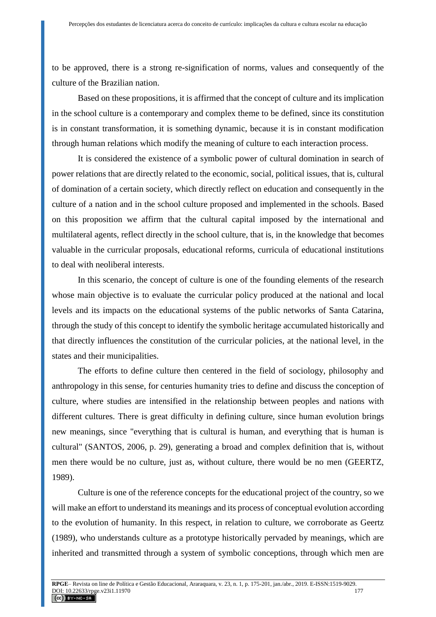to be approved, there is a strong re-signification of norms, values and consequently of the culture of the Brazilian nation.

Based on these propositions, it is affirmed that the concept of culture and its implication in the school culture is a contemporary and complex theme to be defined, since its constitution is in constant transformation, it is something dynamic, because it is in constant modification through human relations which modify the meaning of culture to each interaction process.

It is considered the existence of a symbolic power of cultural domination in search of power relations that are directly related to the economic, social, political issues, that is, cultural of domination of a certain society, which directly reflect on education and consequently in the culture of a nation and in the school culture proposed and implemented in the schools. Based on this proposition we affirm that the cultural capital imposed by the international and multilateral agents, reflect directly in the school culture, that is, in the knowledge that becomes valuable in the curricular proposals, educational reforms, curricula of educational institutions to deal with neoliberal interests.

In this scenario, the concept of culture is one of the founding elements of the research whose main objective is to evaluate the curricular policy produced at the national and local levels and its impacts on the educational systems of the public networks of Santa Catarina, through the study of this concept to identify the symbolic heritage accumulated historically and that directly influences the constitution of the curricular policies, at the national level, in the states and their municipalities.

The efforts to define culture then centered in the field of sociology, philosophy and anthropology in this sense, for centuries humanity tries to define and discuss the conception of culture, where studies are intensified in the relationship between peoples and nations with different cultures. There is great difficulty in defining culture, since human evolution brings new meanings, since "everything that is cultural is human, and everything that is human is cultural" (SANTOS, 2006, p. 29), generating a broad and complex definition that is, without men there would be no culture, just as, without culture, there would be no men (GEERTZ, 1989).

Culture is one of the reference concepts for the educational project of the country, so we will make an effort to understand its meanings and its process of conceptual evolution according to the evolution of humanity. In this respect, in relation to culture, we corroborate as Geertz (1989), who understands culture as a prototype historically pervaded by meanings, which are inherited and transmitted through a system of symbolic conceptions, through which men are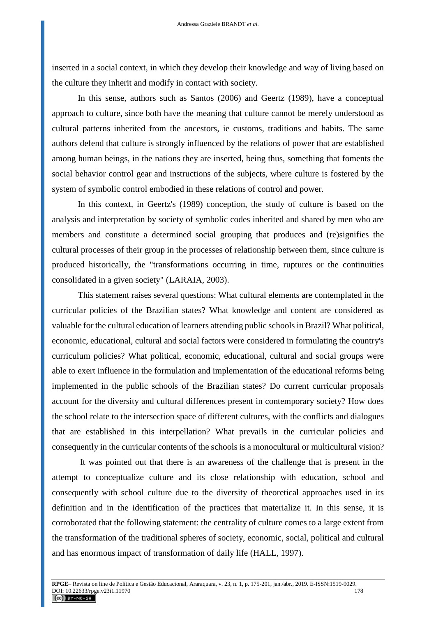inserted in a social context, in which they develop their knowledge and way of living based on the culture they inherit and modify in contact with society.

In this sense, authors such as Santos (2006) and Geertz (1989), have a conceptual approach to culture, since both have the meaning that culture cannot be merely understood as cultural patterns inherited from the ancestors, ie customs, traditions and habits. The same authors defend that culture is strongly influenced by the relations of power that are established among human beings, in the nations they are inserted, being thus, something that foments the social behavior control gear and instructions of the subjects, where culture is fostered by the system of symbolic control embodied in these relations of control and power.

In this context, in Geertz's (1989) conception, the study of culture is based on the analysis and interpretation by society of symbolic codes inherited and shared by men who are members and constitute a determined social grouping that produces and (re)signifies the cultural processes of their group in the processes of relationship between them, since culture is produced historically, the "transformations occurring in time, ruptures or the continuities consolidated in a given society" (LARAIA, 2003).

This statement raises several questions: What cultural elements are contemplated in the curricular policies of the Brazilian states? What knowledge and content are considered as valuable for the cultural education of learners attending public schools in Brazil? What political, economic, educational, cultural and social factors were considered in formulating the country's curriculum policies? What political, economic, educational, cultural and social groups were able to exert influence in the formulation and implementation of the educational reforms being implemented in the public schools of the Brazilian states? Do current curricular proposals account for the diversity and cultural differences present in contemporary society? How does the school relate to the intersection space of different cultures, with the conflicts and dialogues that are established in this interpellation? What prevails in the curricular policies and consequently in the curricular contents of the schools is a monocultural or multicultural vision?

It was pointed out that there is an awareness of the challenge that is present in the attempt to conceptualize culture and its close relationship with education, school and consequently with school culture due to the diversity of theoretical approaches used in its definition and in the identification of the practices that materialize it. In this sense, it is corroborated that the following statement: the centrality of culture comes to a large extent from the transformation of the traditional spheres of society, economic, social, political and cultural and has enormous impact of transformation of daily life (HALL, 1997).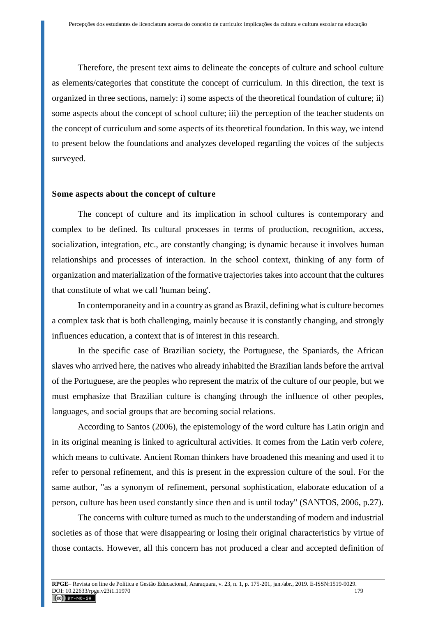Therefore, the present text aims to delineate the concepts of culture and school culture as elements/categories that constitute the concept of curriculum. In this direction, the text is organized in three sections, namely: i) some aspects of the theoretical foundation of culture; ii) some aspects about the concept of school culture; iii) the perception of the teacher students on the concept of curriculum and some aspects of its theoretical foundation. In this way, we intend to present below the foundations and analyzes developed regarding the voices of the subjects surveyed.

#### **Some aspects about the concept of culture**

The concept of culture and its implication in school cultures is contemporary and complex to be defined. Its cultural processes in terms of production, recognition, access, socialization, integration, etc., are constantly changing; is dynamic because it involves human relationships and processes of interaction. In the school context, thinking of any form of organization and materialization of the formative trajectories takes into account that the cultures that constitute of what we call 'human being'.

In contemporaneity and in a country as grand as Brazil, defining what is culture becomes a complex task that is both challenging, mainly because it is constantly changing, and strongly influences education, a context that is of interest in this research.

In the specific case of Brazilian society, the Portuguese, the Spaniards, the African slaves who arrived here, the natives who already inhabited the Brazilian lands before the arrival of the Portuguese, are the peoples who represent the matrix of the culture of our people, but we must emphasize that Brazilian culture is changing through the influence of other peoples, languages, and social groups that are becoming social relations.

According to Santos (2006), the epistemology of the word culture has Latin origin and in its original meaning is linked to agricultural activities. It comes from the Latin verb *colere*, which means to cultivate. Ancient Roman thinkers have broadened this meaning and used it to refer to personal refinement, and this is present in the expression culture of the soul. For the same author, "as a synonym of refinement, personal sophistication, elaborate education of a person, culture has been used constantly since then and is until today" (SANTOS, 2006, p.27).

The concerns with culture turned as much to the understanding of modern and industrial societies as of those that were disappearing or losing their original characteristics by virtue of those contacts. However, all this concern has not produced a clear and accepted definition of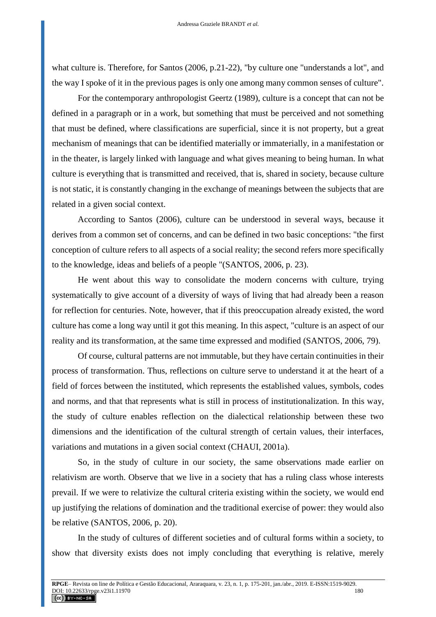what culture is. Therefore, for Santos (2006, p.21-22), "by culture one "understands a lot", and the way I spoke of it in the previous pages is only one among many common senses of culture".

For the contemporary anthropologist Geertz (1989), culture is a concept that can not be defined in a paragraph or in a work, but something that must be perceived and not something that must be defined, where classifications are superficial, since it is not property, but a great mechanism of meanings that can be identified materially or immaterially, in a manifestation or in the theater, is largely linked with language and what gives meaning to being human. In what culture is everything that is transmitted and received, that is, shared in society, because culture is not static, it is constantly changing in the exchange of meanings between the subjects that are related in a given social context.

According to Santos (2006), culture can be understood in several ways, because it derives from a common set of concerns, and can be defined in two basic conceptions: "the first conception of culture refers to all aspects of a social reality; the second refers more specifically to the knowledge, ideas and beliefs of a people "(SANTOS, 2006, p. 23).

He went about this way to consolidate the modern concerns with culture, trying systematically to give account of a diversity of ways of living that had already been a reason for reflection for centuries. Note, however, that if this preoccupation already existed, the word culture has come a long way until it got this meaning. In this aspect, "culture is an aspect of our reality and its transformation, at the same time expressed and modified (SANTOS, 2006, 79).

Of course, cultural patterns are not immutable, but they have certain continuities in their process of transformation. Thus, reflections on culture serve to understand it at the heart of a field of forces between the instituted, which represents the established values, symbols, codes and norms, and that that represents what is still in process of institutionalization. In this way, the study of culture enables reflection on the dialectical relationship between these two dimensions and the identification of the cultural strength of certain values, their interfaces, variations and mutations in a given social context (CHAUI, 2001a).

So, in the study of culture in our society, the same observations made earlier on relativism are worth. Observe that we live in a society that has a ruling class whose interests prevail. If we were to relativize the cultural criteria existing within the society, we would end up justifying the relations of domination and the traditional exercise of power: they would also be relative (SANTOS, 2006, p. 20).

In the study of cultures of different societies and of cultural forms within a society, to show that diversity exists does not imply concluding that everything is relative, merely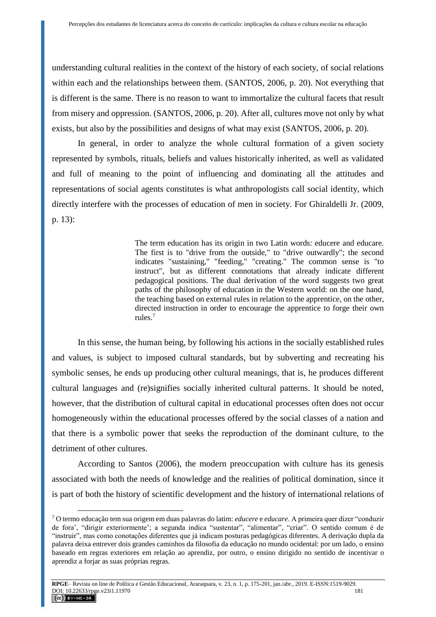understanding cultural realities in the context of the history of each society, of social relations within each and the relationships between them. (SANTOS, 2006, p. 20). Not everything that is different is the same. There is no reason to want to immortalize the cultural facets that result from misery and oppression. (SANTOS, 2006, p. 20). After all, cultures move not only by what exists, but also by the possibilities and designs of what may exist (SANTOS, 2006, p. 20).

In general, in order to analyze the whole cultural formation of a given society represented by symbols, rituals, beliefs and values historically inherited, as well as validated and full of meaning to the point of influencing and dominating all the attitudes and representations of social agents constitutes is what anthropologists call social identity, which directly interfere with the processes of education of men in society. For Ghiraldelli Jr. (2009, p. 13):

> The term education has its origin in two Latin words: educere and educare. The first is to "drive from the outside," to "drive outwardly"; the second indicates "sustaining," "feeding," "creating." The common sense is "to instruct", but as different connotations that already indicate different pedagogical positions. The dual derivation of the word suggests two great paths of the philosophy of education in the Western world: on the one hand, the teaching based on external rules in relation to the apprentice, on the other, directed instruction in order to encourage the apprentice to forge their own rules.<sup>7</sup>

In this sense, the human being, by following his actions in the socially established rules and values, is subject to imposed cultural standards, but by subverting and recreating his symbolic senses, he ends up producing other cultural meanings, that is, he produces different cultural languages and (re)signifies socially inherited cultural patterns. It should be noted, however, that the distribution of cultural capital in educational processes often does not occur homogeneously within the educational processes offered by the social classes of a nation and that there is a symbolic power that seeks the reproduction of the dominant culture, to the detriment of other cultures.

According to Santos (2006), the modern preoccupation with culture has its genesis associated with both the needs of knowledge and the realities of political domination, since it is part of both the history of scientific development and the history of international relations of

<sup>7</sup> O termo educação tem sua origem em duas palavras do latim: *educere* e *educare*. A primeira quer dizer "conduzir de fora', "dirigir exteriormente'; a segunda indica "sustentar", "alimentar", "criar". O sentido comum é de "instruir", mas como conotações diferentes que já indicam posturas pedagógicas diferentes. A derivação dupla da palavra deixa entrever dois grandes caminhos da filosofia da educação no mundo ocidental: por um lado, o ensino baseado em regras exteriores em relação ao aprendiz, por outro, o ensino dirigido no sentido de incentivar o aprendiz a forjar as suas próprias regras.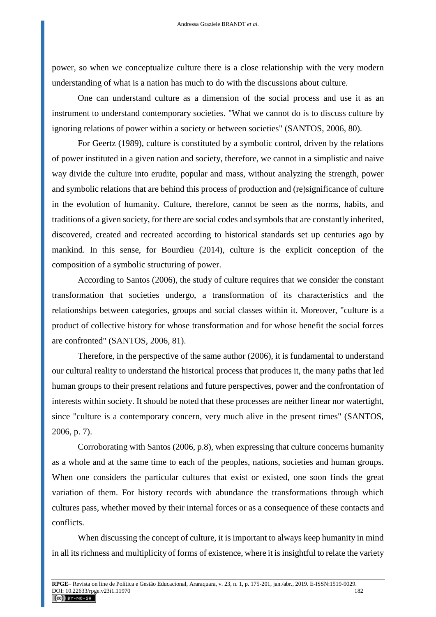power, so when we conceptualize culture there is a close relationship with the very modern understanding of what is a nation has much to do with the discussions about culture.

One can understand culture as a dimension of the social process and use it as an instrument to understand contemporary societies. "What we cannot do is to discuss culture by ignoring relations of power within a society or between societies" (SANTOS, 2006, 80).

For Geertz (1989), culture is constituted by a symbolic control, driven by the relations of power instituted in a given nation and society, therefore, we cannot in a simplistic and naive way divide the culture into erudite, popular and mass, without analyzing the strength, power and symbolic relations that are behind this process of production and (re)significance of culture in the evolution of humanity. Culture, therefore, cannot be seen as the norms, habits, and traditions of a given society, for there are social codes and symbols that are constantly inherited, discovered, created and recreated according to historical standards set up centuries ago by mankind. In this sense, for Bourdieu (2014), culture is the explicit conception of the composition of a symbolic structuring of power.

According to Santos (2006), the study of culture requires that we consider the constant transformation that societies undergo, a transformation of its characteristics and the relationships between categories, groups and social classes within it. Moreover, "culture is a product of collective history for whose transformation and for whose benefit the social forces are confronted" (SANTOS, 2006, 81).

Therefore, in the perspective of the same author (2006), it is fundamental to understand our cultural reality to understand the historical process that produces it, the many paths that led human groups to their present relations and future perspectives, power and the confrontation of interests within society. It should be noted that these processes are neither linear nor watertight, since "culture is a contemporary concern, very much alive in the present times" (SANTOS, 2006, p. 7).

Corroborating with Santos (2006, p.8), when expressing that culture concerns humanity as a whole and at the same time to each of the peoples, nations, societies and human groups. When one considers the particular cultures that exist or existed, one soon finds the great variation of them. For history records with abundance the transformations through which cultures pass, whether moved by their internal forces or as a consequence of these contacts and conflicts.

When discussing the concept of culture, it is important to always keep humanity in mind in all its richness and multiplicity of forms of existence, where it is insightful to relate the variety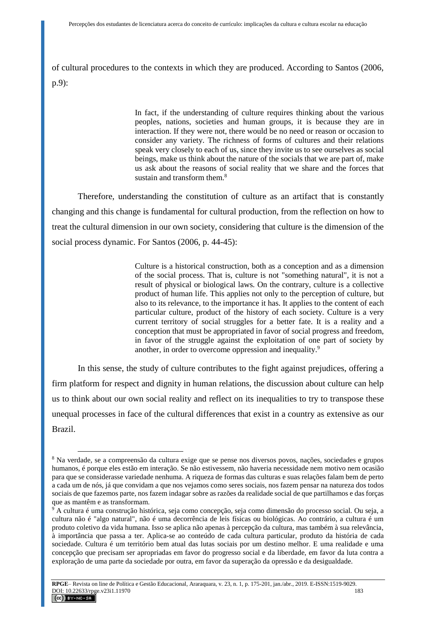of cultural procedures to the contexts in which they are produced. According to Santos (2006, p.9):

> In fact, if the understanding of culture requires thinking about the various peoples, nations, societies and human groups, it is because they are in interaction. If they were not, there would be no need or reason or occasion to consider any variety. The richness of forms of cultures and their relations speak very closely to each of us, since they invite us to see ourselves as social beings, make us think about the nature of the socials that we are part of, make us ask about the reasons of social reality that we share and the forces that sustain and transform them  $8$

Therefore, understanding the constitution of culture as an artifact that is constantly changing and this change is fundamental for cultural production, from the reflection on how to treat the cultural dimension in our own society, considering that culture is the dimension of the social process dynamic. For Santos (2006, p. 44-45):

> Culture is a historical construction, both as a conception and as a dimension of the social process. That is, culture is not "something natural", it is not a result of physical or biological laws. On the contrary, culture is a collective product of human life. This applies not only to the perception of culture, but also to its relevance, to the importance it has. It applies to the content of each particular culture, product of the history of each society. Culture is a very current territory of social struggles for a better fate. It is a reality and a conception that must be appropriated in favor of social progress and freedom, in favor of the struggle against the exploitation of one part of society by another, in order to overcome oppression and inequality.<sup>9</sup>

In this sense, the study of culture contributes to the fight against prejudices, offering a firm platform for respect and dignity in human relations, the discussion about culture can help us to think about our own social reality and reflect on its inequalities to try to transpose these unequal processes in face of the cultural differences that exist in a country as extensive as our Brazil.

<sup>8</sup> Na verdade, se a compreensão da cultura exige que se pense nos diversos povos, nações, sociedades e grupos humanos, é porque eles estão em interação. Se não estivessem, não haveria necessidade nem motivo nem ocasião para que se considerasse variedade nenhuma. A riqueza de formas das culturas e suas relações falam bem de perto a cada um de nós, já que convidam a que nos vejamos como seres sociais, nos fazem pensar na natureza dos todos sociais de que fazemos parte, nos fazem indagar sobre as razões da realidade social de que partilhamos e das forças que as mantêm e as transformam.

<sup>9</sup> A cultura é uma construção histórica, seja como concepção, seja como dimensão do processo social. Ou seja, a cultura não é "algo natural", não é uma decorrência de leis físicas ou biológicas. Ao contrário, a cultura é um produto coletivo da vida humana. Isso se aplica não apenas à percepção da cultura, mas também à sua relevância, à importância que passa a ter. Aplica-se ao conteúdo de cada cultura particular, produto da história de cada sociedade. Cultura é um território bem atual das lutas sociais por um destino melhor. E uma realidade e uma concepção que precisam ser apropriadas em favor do progresso social e da liberdade, em favor da luta contra a exploração de uma parte da sociedade por outra, em favor da superação da opressão e da desigualdade.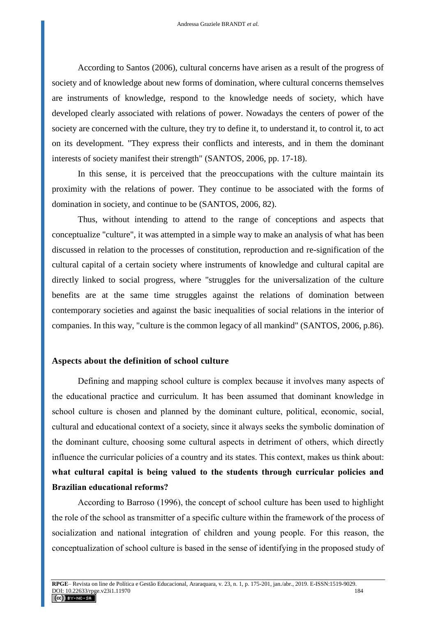According to Santos (2006), cultural concerns have arisen as a result of the progress of society and of knowledge about new forms of domination, where cultural concerns themselves are instruments of knowledge, respond to the knowledge needs of society, which have developed clearly associated with relations of power. Nowadays the centers of power of the society are concerned with the culture, they try to define it, to understand it, to control it, to act on its development. "They express their conflicts and interests, and in them the dominant interests of society manifest their strength" (SANTOS, 2006, pp. 17-18).

In this sense, it is perceived that the preoccupations with the culture maintain its proximity with the relations of power. They continue to be associated with the forms of domination in society, and continue to be (SANTOS, 2006, 82).

Thus, without intending to attend to the range of conceptions and aspects that conceptualize "culture", it was attempted in a simple way to make an analysis of what has been discussed in relation to the processes of constitution, reproduction and re-signification of the cultural capital of a certain society where instruments of knowledge and cultural capital are directly linked to social progress, where "struggles for the universalization of the culture benefits are at the same time struggles against the relations of domination between contemporary societies and against the basic inequalities of social relations in the interior of companies. In this way, "culture is the common legacy of all mankind" (SANTOS, 2006, p.86).

#### **Aspects about the definition of school culture**

Defining and mapping school culture is complex because it involves many aspects of the educational practice and curriculum. It has been assumed that dominant knowledge in school culture is chosen and planned by the dominant culture, political, economic, social, cultural and educational context of a society, since it always seeks the symbolic domination of the dominant culture, choosing some cultural aspects in detriment of others, which directly influence the curricular policies of a country and its states. This context, makes us think about: **what cultural capital is being valued to the students through curricular policies and Brazilian educational reforms?**

According to Barroso (1996), the concept of school culture has been used to highlight the role of the school as transmitter of a specific culture within the framework of the process of socialization and national integration of children and young people. For this reason, the conceptualization of school culture is based in the sense of identifying in the proposed study of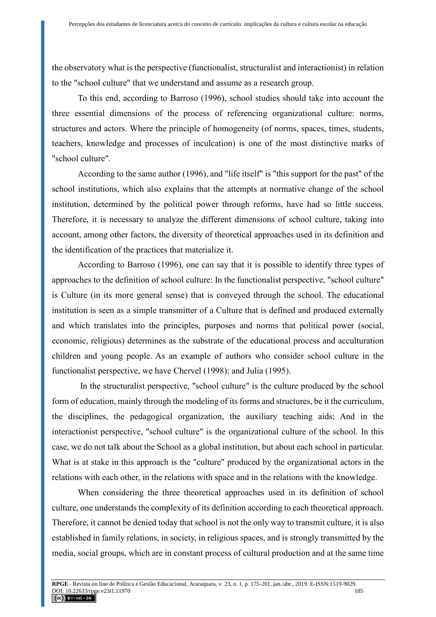the observatory what is the perspective (functionalist, structuralist and interactionist) in relation to the "school culture" that we understand and assume as a research group.

To this end, according to Barroso (1996), school studies should take into account the three essential dimensions of the process of referencing organizational culture: norms, structures and actors. Where the principle of homogeneity (of norms, spaces, times, students, teachers, knowledge and processes of inculcation) is one of the most distinctive marks of "school culture".

According to the same author (1996), and "life itself" is "this support for the past" of the school institutions, which also explains that the attempts at normative change of the school institution, determined by the political power through reforms, have had so little success. Therefore, it is necessary to analyze the different dimensions of school culture, taking into account, among other factors, the diversity of theoretical approaches used in its definition and the identification of the practices that materialize it.

According to Barroso (1996), one can say that it is possible to identify three types of approaches to the definition of school culture: In the functionalist perspective, "school culture" is Culture (in its more general sense) that is conveyed through the school. The educational institution is seen as a simple transmitter of a Culture that is defined and produced externally and which translates into the principles, purposes and norms that political power (social, economic, religious) determines as the substrate of the educational process and acculturation children and young people. As an example of authors who consider school culture in the functionalist perspective, we have Chervel (1998); and Julia (1995).

In the structuralist perspective, "school culture" is the culture produced by the school form of education, mainly through the modeling of its forms and structures, be it the curriculum, the disciplines, the pedagogical organization, the auxiliary teaching aids; And in the interactionist perspective, "school culture" is the organizational culture of the school. In this case, we do not talk about the School as a global institution, but about each school in particular. What is at stake in this approach is the "culture" produced by the organizational actors in the relations with each other, in the relations with space and in the relations with the knowledge.

When considering the three theoretical approaches used in its definition of school culture, one understands the complexity of its definition according to each theoretical approach. Therefore, it cannot be denied today that school is not the only way to transmit culture, it is also established in family relations, in society, in religious spaces, and is strongly transmitted by the media, social groups, which are in constant process of cultural production and at the same time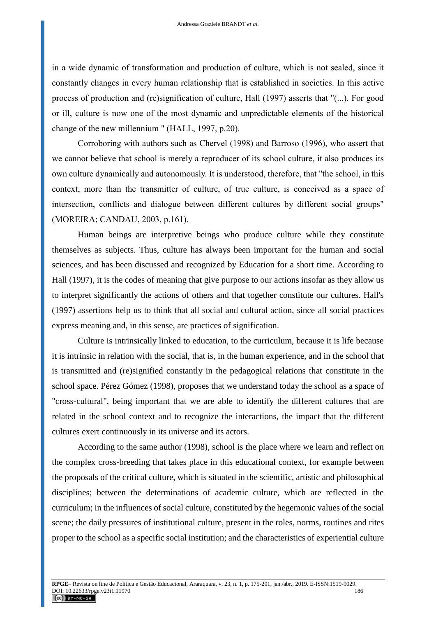in a wide dynamic of transformation and production of culture, which is not sealed, since it constantly changes in every human relationship that is established in societies. In this active process of production and (re)signification of culture, Hall (1997) asserts that "(...). For good or ill, culture is now one of the most dynamic and unpredictable elements of the historical change of the new millennium " (HALL, 1997, p.20).

Corroboring with authors such as Chervel (1998) and Barroso (1996), who assert that we cannot believe that school is merely a reproducer of its school culture, it also produces its own culture dynamically and autonomously. It is understood, therefore, that "the school, in this context, more than the transmitter of culture, of true culture, is conceived as a space of intersection, conflicts and dialogue between different cultures by different social groups" (MOREIRA; CANDAU, 2003, p.161).

Human beings are interpretive beings who produce culture while they constitute themselves as subjects. Thus, culture has always been important for the human and social sciences, and has been discussed and recognized by Education for a short time. According to Hall (1997), it is the codes of meaning that give purpose to our actions insofar as they allow us to interpret significantly the actions of others and that together constitute our cultures. Hall's (1997) assertions help us to think that all social and cultural action, since all social practices express meaning and, in this sense, are practices of signification.

Culture is intrinsically linked to education, to the curriculum, because it is life because it is intrinsic in relation with the social, that is, in the human experience, and in the school that is transmitted and (re)signified constantly in the pedagogical relations that constitute in the school space. Pérez Gómez (1998), proposes that we understand today the school as a space of "cross-cultural", being important that we are able to identify the different cultures that are related in the school context and to recognize the interactions, the impact that the different cultures exert continuously in its universe and its actors.

According to the same author (1998), school is the place where we learn and reflect on the complex cross-breeding that takes place in this educational context, for example between the proposals of the critical culture, which is situated in the scientific, artistic and philosophical disciplines; between the determinations of academic culture, which are reflected in the curriculum; in the influences of social culture, constituted by the hegemonic values of the social scene; the daily pressures of institutional culture, present in the roles, norms, routines and rites proper to the school as a specific social institution; and the characteristics of experiential culture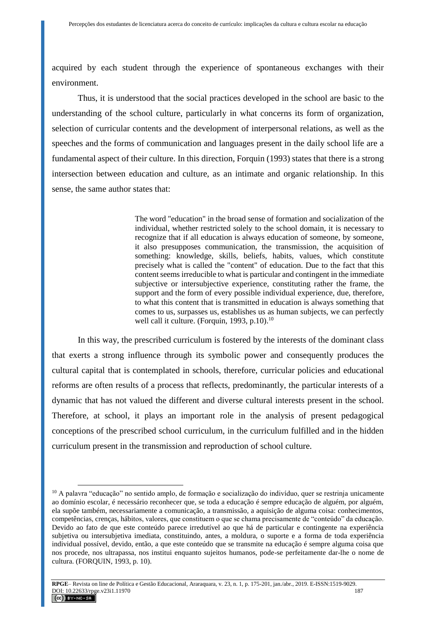acquired by each student through the experience of spontaneous exchanges with their environment.

Thus, it is understood that the social practices developed in the school are basic to the understanding of the school culture, particularly in what concerns its form of organization, selection of curricular contents and the development of interpersonal relations, as well as the speeches and the forms of communication and languages present in the daily school life are a fundamental aspect of their culture. In this direction, Forquin (1993) states that there is a strong intersection between education and culture, as an intimate and organic relationship. In this sense, the same author states that:

> The word "education" in the broad sense of formation and socialization of the individual, whether restricted solely to the school domain, it is necessary to recognize that if all education is always education of someone, by someone, it also presupposes communication, the transmission, the acquisition of something: knowledge, skills, beliefs, habits, values, which constitute precisely what is called the "content" of education. Due to the fact that this content seems irreducible to what is particular and contingent in the immediate subjective or intersubjective experience, constituting rather the frame, the support and the form of every possible individual experience, due, therefore, to what this content that is transmitted in education is always something that comes to us, surpasses us, establishes us as human subjects, we can perfectly well call it culture. (Forquin, 1993, p.10). $^{10}$

In this way, the prescribed curriculum is fostered by the interests of the dominant class that exerts a strong influence through its symbolic power and consequently produces the cultural capital that is contemplated in schools, therefore, curricular policies and educational reforms are often results of a process that reflects, predominantly, the particular interests of a dynamic that has not valued the different and diverse cultural interests present in the school. Therefore, at school, it plays an important role in the analysis of present pedagogical conceptions of the prescribed school curriculum, in the curriculum fulfilled and in the hidden curriculum present in the transmission and reproduction of school culture.

<sup>&</sup>lt;sup>10</sup> A palavra "educação" no sentido amplo, de formação e socialização do indivíduo, quer se restrinja unicamente ao domínio escolar, é necessário reconhecer que, se toda a educação é sempre educação de alguém, por alguém, ela supõe também, necessariamente a comunicação, a transmissão, a aquisição de alguma coisa: conhecimentos, competências, crenças, hábitos, valores, que constituem o que se chama precisamente de "conteúdo" da educação. Devido ao fato de que este conteúdo parece irredutível ao que há de particular e contingente na experiência subjetiva ou intersubjetiva imediata, constituindo, antes, a moldura, o suporte e a forma de toda experiência individual possível, devido, então, a que este conteúdo que se transmite na educação é sempre alguma coisa que nos procede, nos ultrapassa, nos institui enquanto sujeitos humanos, pode-se perfeitamente dar-lhe o nome de cultura. (FORQUIN, 1993, p. 10).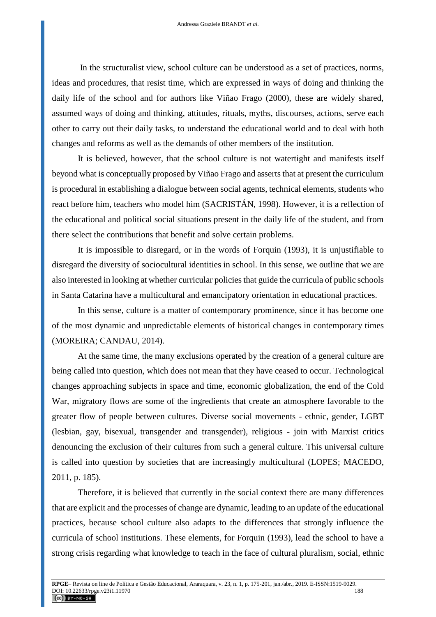In the structuralist view, school culture can be understood as a set of practices, norms, ideas and procedures, that resist time, which are expressed in ways of doing and thinking the daily life of the school and for authors like Viñao Frago (2000), these are widely shared, assumed ways of doing and thinking, attitudes, rituals, myths, discourses, actions, serve each other to carry out their daily tasks, to understand the educational world and to deal with both changes and reforms as well as the demands of other members of the institution.

It is believed, however, that the school culture is not watertight and manifests itself beyond what is conceptually proposed by Viñao Frago and asserts that at present the curriculum is procedural in establishing a dialogue between social agents, technical elements, students who react before him, teachers who model him (SACRISTÁN, 1998). However, it is a reflection of the educational and political social situations present in the daily life of the student, and from there select the contributions that benefit and solve certain problems.

It is impossible to disregard, or in the words of Forquin (1993), it is unjustifiable to disregard the diversity of sociocultural identities in school. In this sense, we outline that we are also interested in looking at whether curricular policies that guide the curricula of public schools in Santa Catarina have a multicultural and emancipatory orientation in educational practices.

In this sense, culture is a matter of contemporary prominence, since it has become one of the most dynamic and unpredictable elements of historical changes in contemporary times (MOREIRA; CANDAU, 2014).

At the same time, the many exclusions operated by the creation of a general culture are being called into question, which does not mean that they have ceased to occur. Technological changes approaching subjects in space and time, economic globalization, the end of the Cold War, migratory flows are some of the ingredients that create an atmosphere favorable to the greater flow of people between cultures. Diverse social movements - ethnic, gender, LGBT (lesbian, gay, bisexual, transgender and transgender), religious - join with Marxist critics denouncing the exclusion of their cultures from such a general culture. This universal culture is called into question by societies that are increasingly multicultural (LOPES; MACEDO, 2011, p. 185).

Therefore, it is believed that currently in the social context there are many differences that are explicit and the processes of change are dynamic, leading to an update of the educational practices, because school culture also adapts to the differences that strongly influence the curricula of school institutions. These elements, for Forquin (1993), lead the school to have a strong crisis regarding what knowledge to teach in the face of cultural pluralism, social, ethnic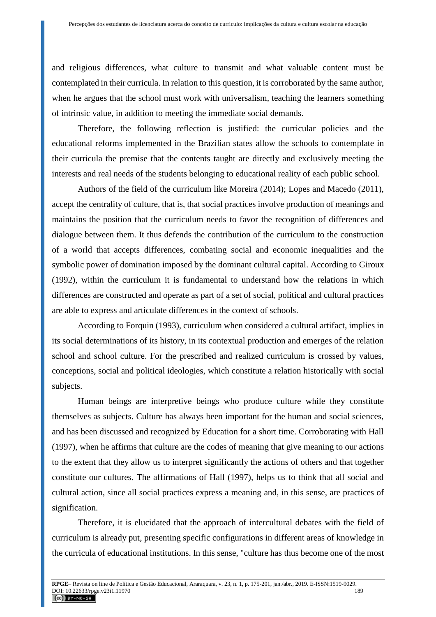and religious differences, what culture to transmit and what valuable content must be contemplated in their curricula. In relation to this question, it is corroborated by the same author, when he argues that the school must work with universalism, teaching the learners something of intrinsic value, in addition to meeting the immediate social demands.

Therefore, the following reflection is justified: the curricular policies and the educational reforms implemented in the Brazilian states allow the schools to contemplate in their curricula the premise that the contents taught are directly and exclusively meeting the interests and real needs of the students belonging to educational reality of each public school.

Authors of the field of the curriculum like Moreira (2014); Lopes and Macedo (2011), accept the centrality of culture, that is, that social practices involve production of meanings and maintains the position that the curriculum needs to favor the recognition of differences and dialogue between them. It thus defends the contribution of the curriculum to the construction of a world that accepts differences, combating social and economic inequalities and the symbolic power of domination imposed by the dominant cultural capital. According to Giroux (1992), within the curriculum it is fundamental to understand how the relations in which differences are constructed and operate as part of a set of social, political and cultural practices are able to express and articulate differences in the context of schools.

According to Forquin (1993), curriculum when considered a cultural artifact, implies in its social determinations of its history, in its contextual production and emerges of the relation school and school culture. For the prescribed and realized curriculum is crossed by values, conceptions, social and political ideologies, which constitute a relation historically with social subjects.

Human beings are interpretive beings who produce culture while they constitute themselves as subjects. Culture has always been important for the human and social sciences, and has been discussed and recognized by Education for a short time. Corroborating with Hall (1997), when he affirms that culture are the codes of meaning that give meaning to our actions to the extent that they allow us to interpret significantly the actions of others and that together constitute our cultures. The affirmations of Hall (1997), helps us to think that all social and cultural action, since all social practices express a meaning and, in this sense, are practices of signification.

Therefore, it is elucidated that the approach of intercultural debates with the field of curriculum is already put, presenting specific configurations in different areas of knowledge in the curricula of educational institutions. In this sense, "culture has thus become one of the most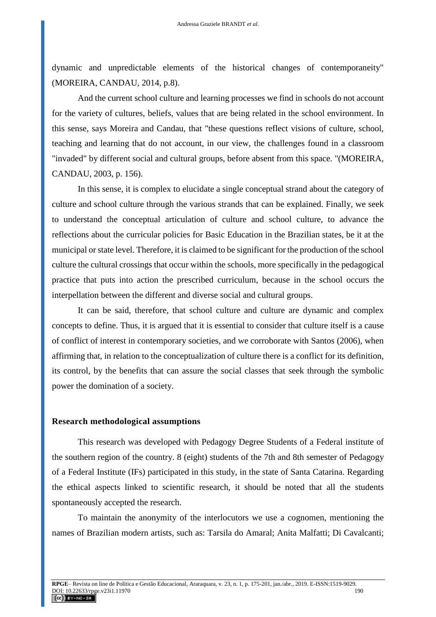dynamic and unpredictable elements of the historical changes of contemporaneity" (MOREIRA, CANDAU, 2014, p.8).

And the current school culture and learning processes we find in schools do not account for the variety of cultures, beliefs, values that are being related in the school environment. In this sense, says Moreira and Candau, that "these questions reflect visions of culture, school, teaching and learning that do not account, in our view, the challenges found in a classroom "invaded" by different social and cultural groups, before absent from this space. "(MOREIRA, CANDAU, 2003, p. 156).

In this sense, it is complex to elucidate a single conceptual strand about the category of culture and school culture through the various strands that can be explained. Finally, we seek to understand the conceptual articulation of culture and school culture, to advance the reflections about the curricular policies for Basic Education in the Brazilian states, be it at the municipal or state level. Therefore, it is claimed to be significant for the production of the school culture the cultural crossings that occur within the schools, more specifically in the pedagogical practice that puts into action the prescribed curriculum, because in the school occurs the interpellation between the different and diverse social and cultural groups.

It can be said, therefore, that school culture and culture are dynamic and complex concepts to define. Thus, it is argued that it is essential to consider that culture itself is a cause of conflict of interest in contemporary societies, and we corroborate with Santos (2006), when affirming that, in relation to the conceptualization of culture there is a conflict for its definition, its control, by the benefits that can assure the social classes that seek through the symbolic power the domination of a society.

#### **Research methodological assumptions**

This research was developed with Pedagogy Degree Students of a Federal institute of the southern region of the country. 8 (eight) students of the 7th and 8th semester of Pedagogy of a Federal Institute (IFs) participated in this study, in the state of Santa Catarina. Regarding the ethical aspects linked to scientific research, it should be noted that all the students spontaneously accepted the research.

To maintain the anonymity of the interlocutors we use a cognomen, mentioning the names of Brazilian modern artists, such as: Tarsila do Amaral; Anita Malfatti; Di Cavalcanti;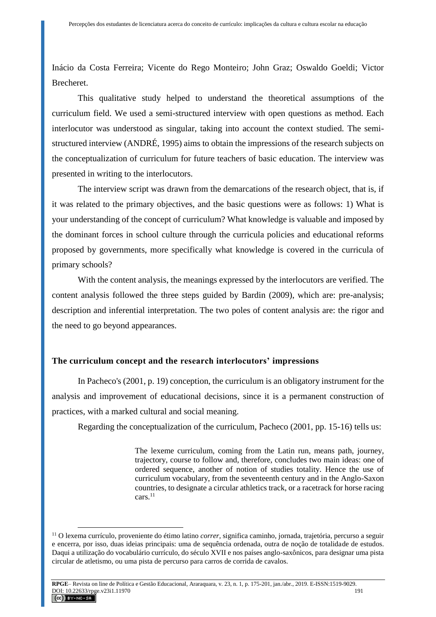Inácio da Costa Ferreira; Vicente do Rego Monteiro; John Graz; Oswaldo Goeldi; Victor Brecheret.

This qualitative study helped to understand the theoretical assumptions of the curriculum field. We used a semi-structured interview with open questions as method. Each interlocutor was understood as singular, taking into account the context studied. The semistructured interview (ANDRÉ, 1995) aims to obtain the impressions of the research subjects on the conceptualization of curriculum for future teachers of basic education. The interview was presented in writing to the interlocutors.

The interview script was drawn from the demarcations of the research object, that is, if it was related to the primary objectives, and the basic questions were as follows: 1) What is your understanding of the concept of curriculum? What knowledge is valuable and imposed by the dominant forces in school culture through the curricula policies and educational reforms proposed by governments, more specifically what knowledge is covered in the curricula of primary schools?

With the content analysis, the meanings expressed by the interlocutors are verified. The content analysis followed the three steps guided by Bardin (2009), which are: pre-analysis; description and inferential interpretation. The two poles of content analysis are: the rigor and the need to go beyond appearances.

## **The curriculum concept and the research interlocutors' impressions**

In Pacheco's (2001, p. 19) conception, the curriculum is an obligatory instrument for the analysis and improvement of educational decisions, since it is a permanent construction of practices, with a marked cultural and social meaning.

Regarding the conceptualization of the curriculum, Pacheco (2001, pp. 15-16) tells us:

The lexeme curriculum, coming from the Latin run, means path, journey, trajectory, course to follow and, therefore, concludes two main ideas: one of ordered sequence, another of notion of studies totality. Hence the use of curriculum vocabulary, from the seventeenth century and in the Anglo-Saxon countries, to designate a circular athletics track, or a racetrack for horse racing cars.<sup>11</sup>

<sup>11</sup> O lexema currículo, proveniente do étimo latino *correr,* significa caminho, jornada, trajetória, percurso a seguir e encerra, por isso, duas ideias principais: uma de sequência ordenada, outra de noção de totalidade de estudos. Daqui a utilização do vocabulário currículo, do século XVII e nos países anglo-saxônicos, para designar uma pista circular de atletismo, ou uma pista de percurso para carros de corrida de cavalos.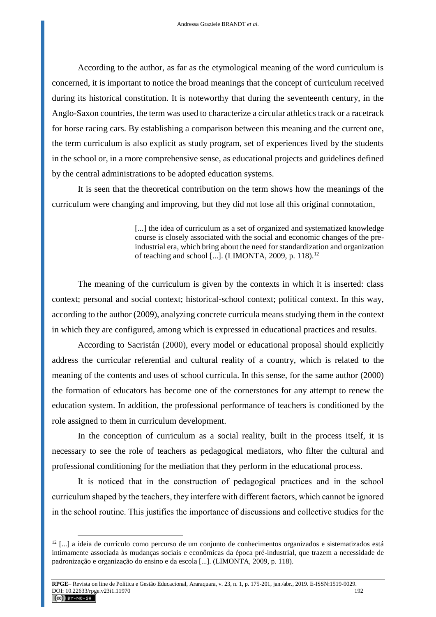According to the author, as far as the etymological meaning of the word curriculum is concerned, it is important to notice the broad meanings that the concept of curriculum received during its historical constitution. It is noteworthy that during the seventeenth century, in the Anglo-Saxon countries, the term was used to characterize a circular athletics track or a racetrack for horse racing cars. By establishing a comparison between this meaning and the current one, the term curriculum is also explicit as study program, set of experiences lived by the students in the school or, in a more comprehensive sense, as educational projects and guidelines defined by the central administrations to be adopted education systems.

It is seen that the theoretical contribution on the term shows how the meanings of the curriculum were changing and improving, but they did not lose all this original connotation,

> [...] the idea of curriculum as a set of organized and systematized knowledge course is closely associated with the social and economic changes of the preindustrial era, which bring about the need for standardization and organization of teaching and school [...]. (LIMONTA, 2009, p. 118).<sup>12</sup>

The meaning of the curriculum is given by the contexts in which it is inserted: class context; personal and social context; historical-school context; political context. In this way, according to the author (2009), analyzing concrete curricula means studying them in the context in which they are configured, among which is expressed in educational practices and results.

According to Sacristán (2000), every model or educational proposal should explicitly address the curricular referential and cultural reality of a country, which is related to the meaning of the contents and uses of school curricula. In this sense, for the same author (2000) the formation of educators has become one of the cornerstones for any attempt to renew the education system. In addition, the professional performance of teachers is conditioned by the role assigned to them in curriculum development.

In the conception of curriculum as a social reality, built in the process itself, it is necessary to see the role of teachers as pedagogical mediators, who filter the cultural and professional conditioning for the mediation that they perform in the educational process.

It is noticed that in the construction of pedagogical practices and in the school curriculum shaped by the teachers, they interfere with different factors, which cannot be ignored in the school routine. This justifies the importance of discussions and collective studies for the

<sup>12</sup> [...] a ideia de currículo como percurso de um conjunto de conhecimentos organizados e sistematizados está intimamente associada às mudanças sociais e econômicas da época pré-industrial, que trazem a necessidade de padronização e organização do ensino e da escola [...]. (LIMONTA, 2009, p. 118).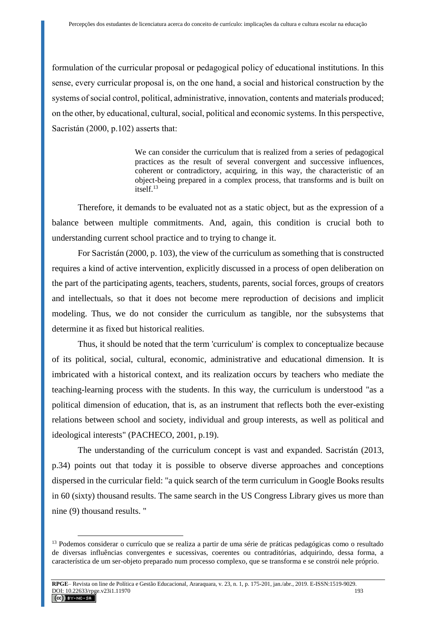formulation of the curricular proposal or pedagogical policy of educational institutions. In this sense, every curricular proposal is, on the one hand, a social and historical construction by the systems of social control, political, administrative, innovation, contents and materials produced; on the other, by educational, cultural, social, political and economic systems. In this perspective, Sacristán (2000, p.102) asserts that:

> We can consider the curriculum that is realized from a series of pedagogical practices as the result of several convergent and successive influences, coherent or contradictory, acquiring, in this way, the characteristic of an object-being prepared in a complex process, that transforms and is built on itself.<sup>13</sup>

Therefore, it demands to be evaluated not as a static object, but as the expression of a balance between multiple commitments. And, again, this condition is crucial both to understanding current school practice and to trying to change it.

For Sacristán (2000, p. 103), the view of the curriculum as something that is constructed requires a kind of active intervention, explicitly discussed in a process of open deliberation on the part of the participating agents, teachers, students, parents, social forces, groups of creators and intellectuals, so that it does not become mere reproduction of decisions and implicit modeling. Thus, we do not consider the curriculum as tangible, nor the subsystems that determine it as fixed but historical realities.

Thus, it should be noted that the term 'curriculum' is complex to conceptualize because of its political, social, cultural, economic, administrative and educational dimension. It is imbricated with a historical context, and its realization occurs by teachers who mediate the teaching-learning process with the students. In this way, the curriculum is understood "as a political dimension of education, that is, as an instrument that reflects both the ever-existing relations between school and society, individual and group interests, as well as political and ideological interests" (PACHECO, 2001, p.19).

The understanding of the curriculum concept is vast and expanded. Sacristán (2013, p.34) points out that today it is possible to observe diverse approaches and conceptions dispersed in the curricular field: "a quick search of the term curriculum in Google Books results in 60 (sixty) thousand results. The same search in the US Congress Library gives us more than nine (9) thousand results. "

<sup>&</sup>lt;sup>13</sup> Podemos considerar o currículo que se realiza a partir de uma série de práticas pedagógicas como o resultado de diversas influências convergentes e sucessivas, coerentes ou contraditórias, adquirindo, dessa forma, a característica de um ser-objeto preparado num processo complexo, que se transforma e se constrói nele próprio.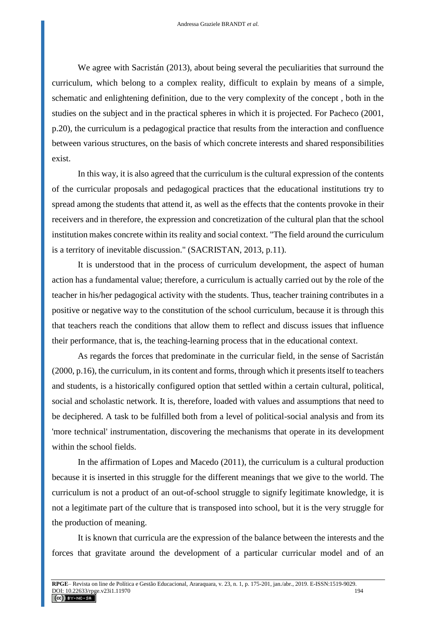We agree with Sacristán (2013), about being several the peculiarities that surround the curriculum, which belong to a complex reality, difficult to explain by means of a simple, schematic and enlightening definition, due to the very complexity of the concept , both in the studies on the subject and in the practical spheres in which it is projected. For Pacheco (2001, p.20), the curriculum is a pedagogical practice that results from the interaction and confluence between various structures, on the basis of which concrete interests and shared responsibilities exist.

In this way, it is also agreed that the curriculum is the cultural expression of the contents of the curricular proposals and pedagogical practices that the educational institutions try to spread among the students that attend it, as well as the effects that the contents provoke in their receivers and in therefore, the expression and concretization of the cultural plan that the school institution makes concrete within its reality and social context. "The field around the curriculum is a territory of inevitable discussion." (SACRISTAN, 2013, p.11).

It is understood that in the process of curriculum development, the aspect of human action has a fundamental value; therefore, a curriculum is actually carried out by the role of the teacher in his/her pedagogical activity with the students. Thus, teacher training contributes in a positive or negative way to the constitution of the school curriculum, because it is through this that teachers reach the conditions that allow them to reflect and discuss issues that influence their performance, that is, the teaching-learning process that in the educational context.

As regards the forces that predominate in the curricular field, in the sense of Sacristán (2000, p.16), the curriculum, in its content and forms, through which it presents itself to teachers and students, is a historically configured option that settled within a certain cultural, political, social and scholastic network. It is, therefore, loaded with values and assumptions that need to be deciphered. A task to be fulfilled both from a level of political-social analysis and from its 'more technical' instrumentation, discovering the mechanisms that operate in its development within the school fields.

In the affirmation of Lopes and Macedo (2011), the curriculum is a cultural production because it is inserted in this struggle for the different meanings that we give to the world. The curriculum is not a product of an out-of-school struggle to signify legitimate knowledge, it is not a legitimate part of the culture that is transposed into school, but it is the very struggle for the production of meaning.

It is known that curricula are the expression of the balance between the interests and the forces that gravitate around the development of a particular curricular model and of an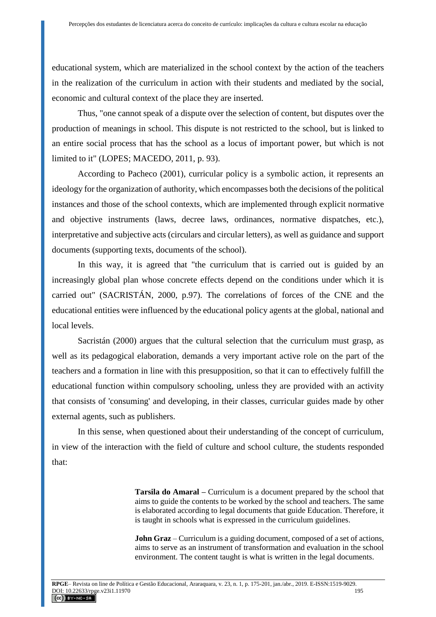educational system, which are materialized in the school context by the action of the teachers in the realization of the curriculum in action with their students and mediated by the social, economic and cultural context of the place they are inserted.

Thus, "one cannot speak of a dispute over the selection of content, but disputes over the production of meanings in school. This dispute is not restricted to the school, but is linked to an entire social process that has the school as a locus of important power, but which is not limited to it" (LOPES; MACEDO, 2011, p. 93).

According to Pacheco (2001), curricular policy is a symbolic action, it represents an ideology for the organization of authority, which encompasses both the decisions of the political instances and those of the school contexts, which are implemented through explicit normative and objective instruments (laws, decree laws, ordinances, normative dispatches, etc.), interpretative and subjective acts (circulars and circular letters), as well as guidance and support documents (supporting texts, documents of the school).

In this way, it is agreed that "the curriculum that is carried out is guided by an increasingly global plan whose concrete effects depend on the conditions under which it is carried out" (SACRISTÁN, 2000, p.97). The correlations of forces of the CNE and the educational entities were influenced by the educational policy agents at the global, national and local levels.

Sacristán (2000) argues that the cultural selection that the curriculum must grasp, as well as its pedagogical elaboration, demands a very important active role on the part of the teachers and a formation in line with this presupposition, so that it can to effectively fulfill the educational function within compulsory schooling, unless they are provided with an activity that consists of 'consuming' and developing, in their classes, curricular guides made by other external agents, such as publishers.

In this sense, when questioned about their understanding of the concept of curriculum, in view of the interaction with the field of culture and school culture, the students responded that:

> **Tarsila do Amaral –** Curriculum is a document prepared by the school that aims to guide the contents to be worked by the school and teachers. The same is elaborated according to legal documents that guide Education. Therefore, it is taught in schools what is expressed in the curriculum guidelines.

> **John Graz** – Curriculum is a guiding document, composed of a set of actions, aims to serve as an instrument of transformation and evaluation in the school environment. The content taught is what is written in the legal documents.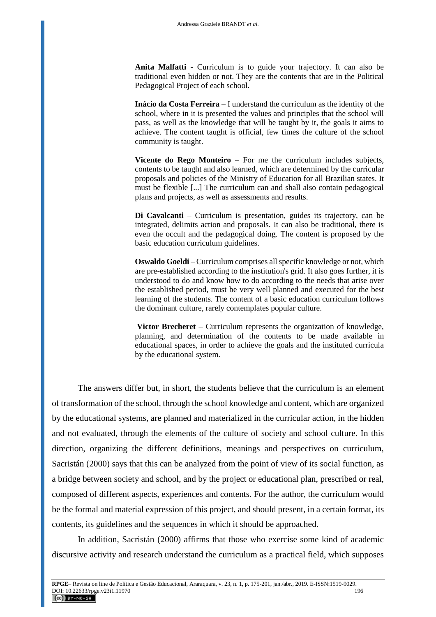**Anita Malfatti -** Curriculum is to guide your trajectory. It can also be traditional even hidden or not. They are the contents that are in the Political Pedagogical Project of each school.

**Inácio da Costa Ferreira** – I understand the curriculum as the identity of the school, where in it is presented the values and principles that the school will pass, as well as the knowledge that will be taught by it, the goals it aims to achieve. The content taught is official, few times the culture of the school community is taught.

**Vicente do Rego Monteiro** – For me the curriculum includes subjects, contents to be taught and also learned, which are determined by the curricular proposals and policies of the Ministry of Education for all Brazilian states. It must be flexible [...] The curriculum can and shall also contain pedagogical plans and projects, as well as assessments and results.

**Di Cavalcanti** – Curriculum is presentation, guides its trajectory, can be integrated, delimits action and proposals. It can also be traditional, there is even the occult and the pedagogical doing. The content is proposed by the basic education curriculum guidelines.

**Oswaldo Goeldi** – Curriculum comprises all specific knowledge or not, which are pre-established according to the institution's grid. It also goes further, it is understood to do and know how to do according to the needs that arise over the established period, must be very well planned and executed for the best learning of the students. The content of a basic education curriculum follows the dominant culture, rarely contemplates popular culture.

**Victor Brecheret** – Curriculum represents the organization of knowledge, planning, and determination of the contents to be made available in educational spaces, in order to achieve the goals and the instituted curricula by the educational system.

The answers differ but, in short, the students believe that the curriculum is an element of transformation of the school, through the school knowledge and content, which are organized by the educational systems, are planned and materialized in the curricular action, in the hidden and not evaluated, through the elements of the culture of society and school culture. In this direction, organizing the different definitions, meanings and perspectives on curriculum, Sacristán (2000) says that this can be analyzed from the point of view of its social function, as a bridge between society and school, and by the project or educational plan, prescribed or real, composed of different aspects, experiences and contents. For the author, the curriculum would be the formal and material expression of this project, and should present, in a certain format, its contents, its guidelines and the sequences in which it should be approached.

In addition, Sacristán (2000) affirms that those who exercise some kind of academic discursive activity and research understand the curriculum as a practical field, which supposes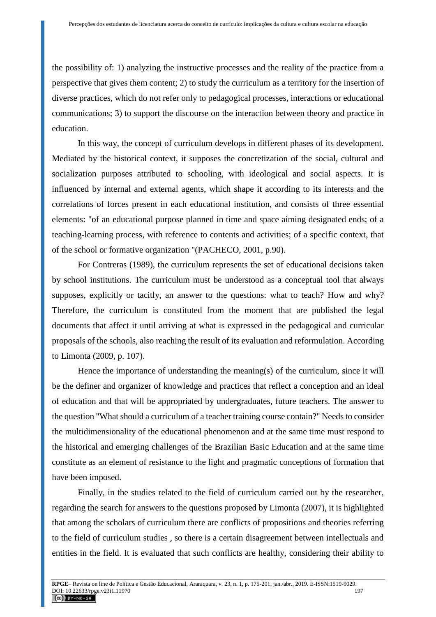the possibility of: 1) analyzing the instructive processes and the reality of the practice from a perspective that gives them content; 2) to study the curriculum as a territory for the insertion of diverse practices, which do not refer only to pedagogical processes, interactions or educational communications; 3) to support the discourse on the interaction between theory and practice in education.

In this way, the concept of curriculum develops in different phases of its development. Mediated by the historical context, it supposes the concretization of the social, cultural and socialization purposes attributed to schooling, with ideological and social aspects. It is influenced by internal and external agents, which shape it according to its interests and the correlations of forces present in each educational institution, and consists of three essential elements: "of an educational purpose planned in time and space aiming designated ends; of a teaching-learning process, with reference to contents and activities; of a specific context, that of the school or formative organization "(PACHECO, 2001, p.90).

For Contreras (1989), the curriculum represents the set of educational decisions taken by school institutions. The curriculum must be understood as a conceptual tool that always supposes, explicitly or tacitly, an answer to the questions: what to teach? How and why? Therefore, the curriculum is constituted from the moment that are published the legal documents that affect it until arriving at what is expressed in the pedagogical and curricular proposals of the schools, also reaching the result of its evaluation and reformulation. According to Limonta (2009, p. 107).

Hence the importance of understanding the meaning(s) of the curriculum, since it will be the definer and organizer of knowledge and practices that reflect a conception and an ideal of education and that will be appropriated by undergraduates, future teachers. The answer to the question "What should a curriculum of a teacher training course contain?" Needs to consider the multidimensionality of the educational phenomenon and at the same time must respond to the historical and emerging challenges of the Brazilian Basic Education and at the same time constitute as an element of resistance to the light and pragmatic conceptions of formation that have been imposed.

Finally, in the studies related to the field of curriculum carried out by the researcher, regarding the search for answers to the questions proposed by Limonta (2007), it is highlighted that among the scholars of curriculum there are conflicts of propositions and theories referring to the field of curriculum studies , so there is a certain disagreement between intellectuals and entities in the field. It is evaluated that such conflicts are healthy, considering their ability to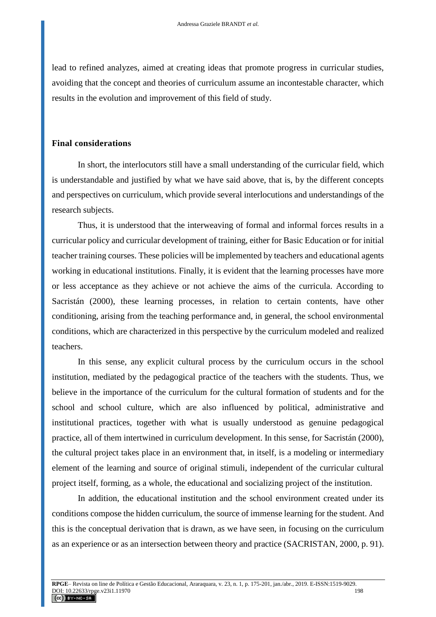lead to refined analyzes, aimed at creating ideas that promote progress in curricular studies, avoiding that the concept and theories of curriculum assume an incontestable character, which results in the evolution and improvement of this field of study.

## **Final considerations**

In short, the interlocutors still have a small understanding of the curricular field, which is understandable and justified by what we have said above, that is, by the different concepts and perspectives on curriculum, which provide several interlocutions and understandings of the research subjects.

Thus, it is understood that the interweaving of formal and informal forces results in a curricular policy and curricular development of training, either for Basic Education or for initial teacher training courses. These policies will be implemented by teachers and educational agents working in educational institutions. Finally, it is evident that the learning processes have more or less acceptance as they achieve or not achieve the aims of the curricula. According to Sacristán (2000), these learning processes, in relation to certain contents, have other conditioning, arising from the teaching performance and, in general, the school environmental conditions, which are characterized in this perspective by the curriculum modeled and realized teachers.

In this sense, any explicit cultural process by the curriculum occurs in the school institution, mediated by the pedagogical practice of the teachers with the students. Thus, we believe in the importance of the curriculum for the cultural formation of students and for the school and school culture, which are also influenced by political, administrative and institutional practices, together with what is usually understood as genuine pedagogical practice, all of them intertwined in curriculum development. In this sense, for Sacristán (2000), the cultural project takes place in an environment that, in itself, is a modeling or intermediary element of the learning and source of original stimuli, independent of the curricular cultural project itself, forming, as a whole, the educational and socializing project of the institution.

In addition, the educational institution and the school environment created under its conditions compose the hidden curriculum, the source of immense learning for the student. And this is the conceptual derivation that is drawn, as we have seen, in focusing on the curriculum as an experience or as an intersection between theory and practice (SACRISTAN, 2000, p. 91).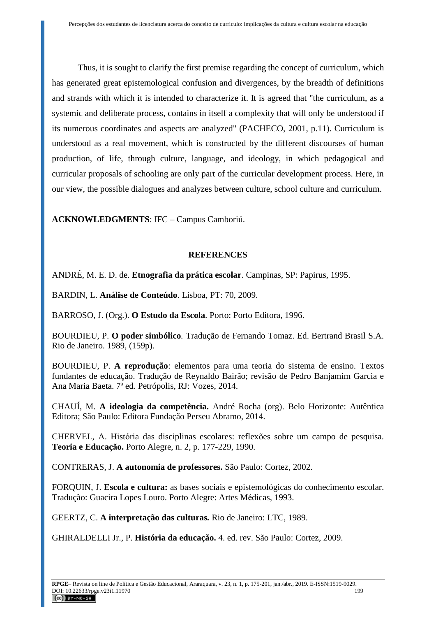Thus, it is sought to clarify the first premise regarding the concept of curriculum, which has generated great epistemological confusion and divergences, by the breadth of definitions and strands with which it is intended to characterize it. It is agreed that "the curriculum, as a systemic and deliberate process, contains in itself a complexity that will only be understood if its numerous coordinates and aspects are analyzed" (PACHECO, 2001, p.11). Curriculum is understood as a real movement, which is constructed by the different discourses of human production, of life, through culture, language, and ideology, in which pedagogical and curricular proposals of schooling are only part of the curricular development process. Here, in our view, the possible dialogues and analyzes between culture, school culture and curriculum.

**ACKNOWLEDGMENTS**: IFC – Campus Camboriú.

# **REFERENCES**

ANDRÉ, M. E. D. de. **Etnografia da prática escolar**. Campinas, SP: Papirus, 1995.

BARDIN, L. **Análise de Conteúdo**. Lisboa, PT: 70, 2009.

BARROSO, J. (Org.). **O Estudo da Escola***.* Porto: Porto Editora, 1996.

BOURDIEU, P. **O poder simbólico***.* Tradução de Fernando Tomaz. Ed. Bertrand Brasil S.A. Rio de Janeiro. 1989, (159p).

BOURDIEU, P. **A reprodução**: elementos para uma teoria do sistema de ensino. Textos fundantes de educação. Tradução de Reynaldo Bairão; revisão de Pedro Banjamim Garcia e Ana Maria Baeta. 7ª ed. Petrópolis, RJ: Vozes, 2014.

CHAUÍ, M. **A ideologia da competência.** André Rocha (org). Belo Horizonte: Autêntica Editora; São Paulo: Editora Fundação Perseu Abramo, 2014.

CHERVEL, A. História das disciplinas escolares: reflexões sobre um campo de pesquisa. **Teoria e Educação.** Porto Alegre, n. 2, p. 177-229, 1990.

CONTRERAS, J. **A autonomia de professores.** São Paulo: Cortez, 2002.

FORQUIN, J. **Escola e cultura:** as bases sociais e epistemológicas do conhecimento escolar. Tradução: Guacira Lopes Louro. Porto Alegre: Artes Médicas, 1993.

GEERTZ, C. **A interpretação das culturas***.* Rio de Janeiro: LTC, 1989.

GHIRALDELLI Jr., P. **História da educação.** 4. ed. rev. São Paulo: Cortez, 2009.